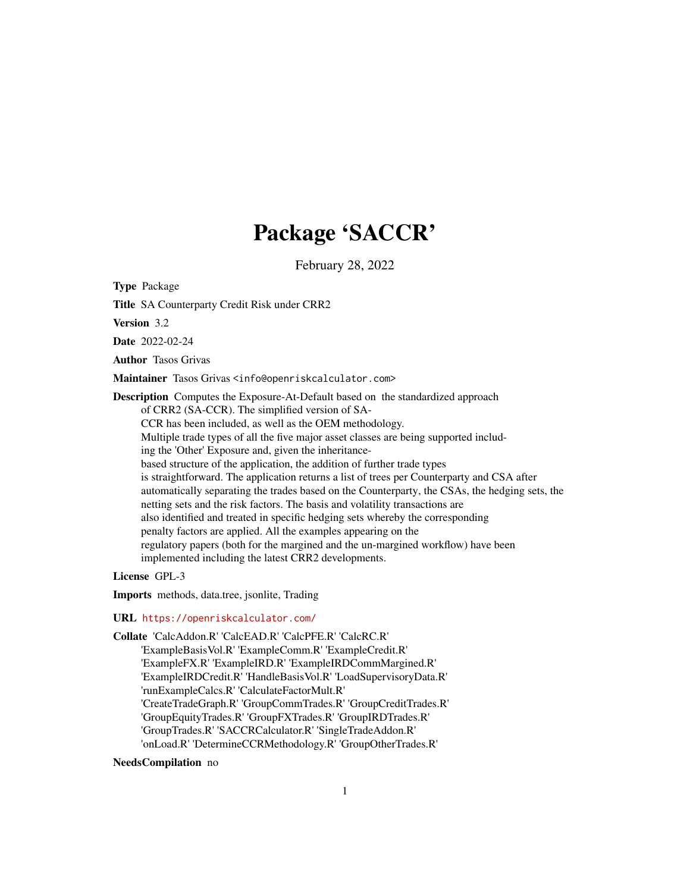# Package 'SACCR'

February 28, 2022

Type Package

Title SA Counterparty Credit Risk under CRR2

Version 3.2

Date 2022-02-24

Author Tasos Grivas

Maintainer Tasos Grivas <info@openriskcalculator.com>

Description Computes the Exposure-At-Default based on the standardized approach of CRR2 (SA-CCR). The simplified version of SA-CCR has been included, as well as the OEM methodology. Multiple trade types of all the five major asset classes are being supported including the 'Other' Exposure and, given the inheritancebased structure of the application, the addition of further trade types is straightforward. The application returns a list of trees per Counterparty and CSA after automatically separating the trades based on the Counterparty, the CSAs, the hedging sets, the netting sets and the risk factors. The basis and volatility transactions are also identified and treated in specific hedging sets whereby the corresponding penalty factors are applied. All the examples appearing on the regulatory papers (both for the margined and the un-margined workflow) have been implemented including the latest CRR2 developments.

License GPL-3

Imports methods, data.tree, jsonlite, Trading

#### URL <https://openriskcalculator.com/>

Collate 'CalcAddon.R' 'CalcEAD.R' 'CalcPFE.R' 'CalcRC.R' 'ExampleBasisVol.R' 'ExampleComm.R' 'ExampleCredit.R' 'ExampleFX.R' 'ExampleIRD.R' 'ExampleIRDCommMargined.R' 'ExampleIRDCredit.R' 'HandleBasisVol.R' 'LoadSupervisoryData.R' 'runExampleCalcs.R' 'CalculateFactorMult.R' 'CreateTradeGraph.R' 'GroupCommTrades.R' 'GroupCreditTrades.R' 'GroupEquityTrades.R' 'GroupFXTrades.R' 'GroupIRDTrades.R' 'GroupTrades.R' 'SACCRCalculator.R' 'SingleTradeAddon.R' 'onLoad.R' 'DetermineCCRMethodology.R' 'GroupOtherTrades.R'

NeedsCompilation no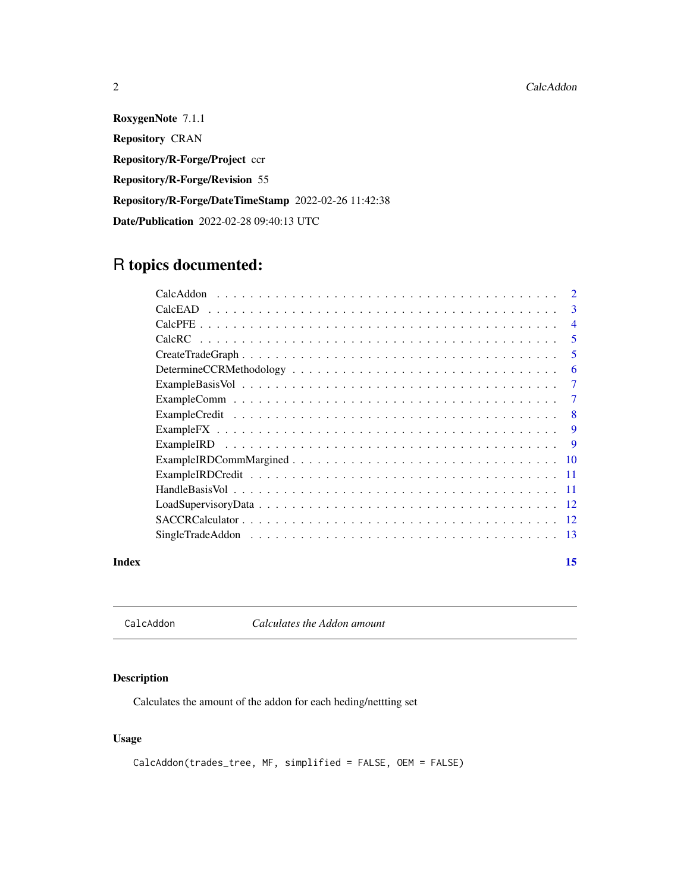2 CalcAddon 2 CalcAddon 2 CalcAddon 2 CalcAddon 2 CalcAddon 2 CalcAddon 2 CalcAddon 2 CalcAddon

RoxygenNote 7.1.1 Repository CRAN Repository/R-Forge/Project ccr Repository/R-Forge/Revision 55 Repository/R-Forge/DateTimeStamp 2022-02-26 11:42:38 Date/Publication 2022-02-28 09:40:13 UTC

# R topics documented:

| $\overline{2}$ |
|----------------|
| 3              |
| $\overline{4}$ |
| 5              |
| 5              |
| 6              |
| 7              |
| $\tau$         |
| 8              |
| 9              |
| 9              |
| 10             |
| -11            |
| -11            |
| 12             |
| -12            |
| -13            |
|                |

#### **Index** [15](#page-14-0)

CalcAddon *Calculates the Addon amount*

# Description

Calculates the amount of the addon for each heding/nettting set

# Usage

```
CalcAddon(trades_tree, MF, simplified = FALSE, OEM = FALSE)
```
<span id="page-1-0"></span>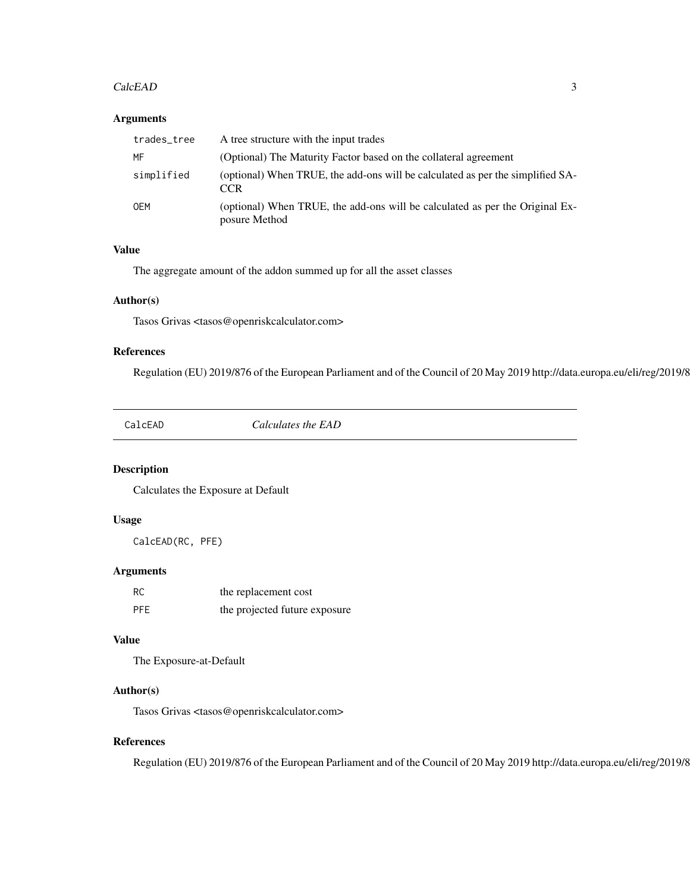#### <span id="page-2-0"></span>CalcEAD 3

#### Arguments

| trades_tree | A tree structure with the input trades                                                        |
|-------------|-----------------------------------------------------------------------------------------------|
| MF          | (Optional) The Maturity Factor based on the collateral agreement                              |
| simplified  | (optional) When TRUE, the add-ons will be calculated as per the simplified SA-<br><b>CCR</b>  |
| <b>OEM</b>  | (optional) When TRUE, the add-ons will be calculated as per the Original Ex-<br>posure Method |

# Value

The aggregate amount of the addon summed up for all the asset classes

#### Author(s)

Tasos Grivas <tasos@openriskcalculator.com>

#### References

Regulation (EU) 2019/876 of the European Parliament and of the Council of 20 May 2019 http://data.europa.eu/eli/reg/2019/8

CalcEAD *Calculates the EAD*

#### Description

Calculates the Exposure at Default

#### Usage

CalcEAD(RC, PFE)

# Arguments

| -RC        | the replacement cost          |
|------------|-------------------------------|
| <b>PFE</b> | the projected future exposure |

# Value

The Exposure-at-Default

# Author(s)

Tasos Grivas <tasos@openriskcalculator.com>

# References

Regulation (EU) 2019/876 of the European Parliament and of the Council of 20 May 2019 http://data.europa.eu/eli/reg/2019/8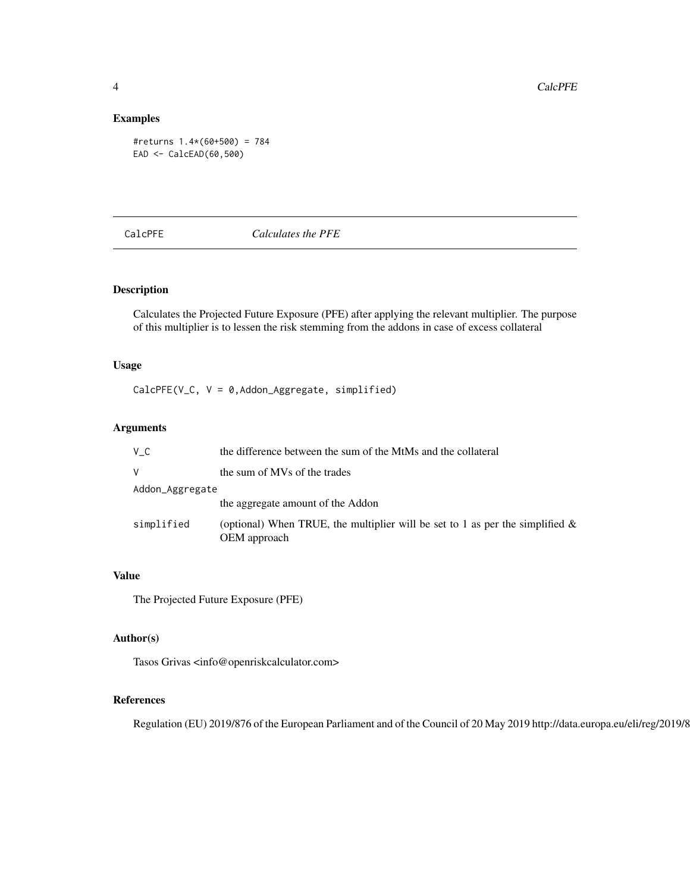#### Examples

#returns 1.4\*(60+500) = 784 EAD <- CalcEAD(60,500)

CalcPFE *Calculates the PFE*

# Description

Calculates the Projected Future Exposure (PFE) after applying the relevant multiplier. The purpose of this multiplier is to lessen the risk stemming from the addons in case of excess collateral

# Usage

CalcPFE(V\_C, V = 0,Addon\_Aggregate, simplified)

# Arguments

| V C             | the difference between the sum of the MtMs and the collateral                                    |  |
|-----------------|--------------------------------------------------------------------------------------------------|--|
| V               | the sum of MVs of the trades                                                                     |  |
| Addon_Aggregate |                                                                                                  |  |
|                 | the aggregate amount of the Addon                                                                |  |
| simplified      | (optional) When TRUE, the multiplier will be set to 1 as per the simplified $\&$<br>OEM approach |  |

# Value

The Projected Future Exposure (PFE)

# Author(s)

Tasos Grivas <info@openriskcalculator.com>

# References

Regulation (EU) 2019/876 of the European Parliament and of the Council of 20 May 2019 http://data.europa.eu/eli/reg/2019/876/oj

<span id="page-3-0"></span>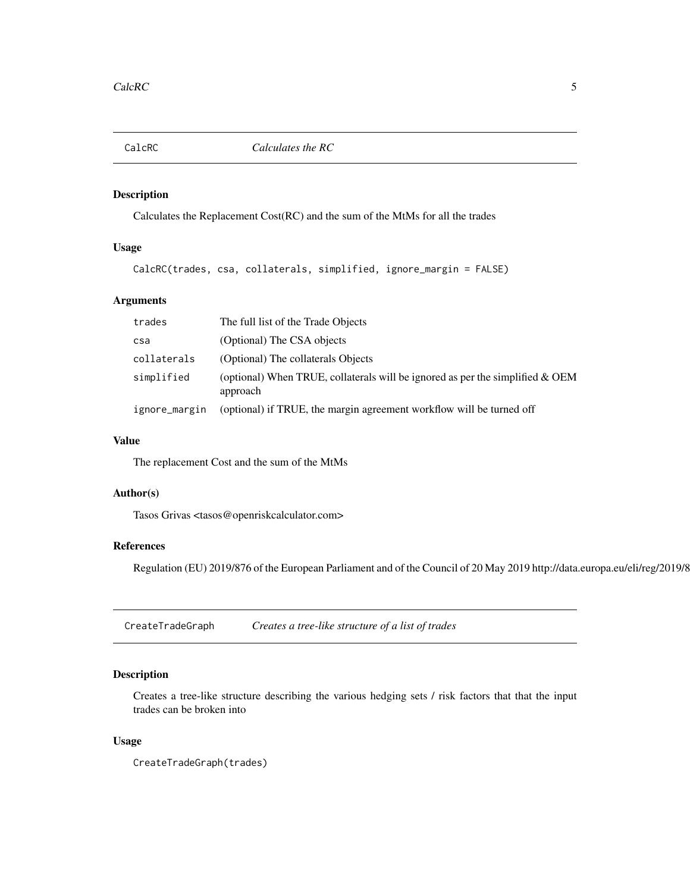<span id="page-4-0"></span>

# Description

Calculates the Replacement Cost(RC) and the sum of the MtMs for all the trades

# Usage

```
CalcRC(trades, csa, collaterals, simplified, ignore_margin = FALSE)
```
# Arguments

| trades        | The full list of the Trade Objects                                                           |
|---------------|----------------------------------------------------------------------------------------------|
| csa           | (Optional) The CSA objects                                                                   |
| collaterals   | (Optional) The collaterals Objects                                                           |
| simplified    | (optional) When TRUE, collaterals will be ignored as per the simplified $\&$ OEM<br>approach |
| ignore_margin | (optional) if TRUE, the margin agreement workflow will be turned off                         |

# Value

The replacement Cost and the sum of the MtMs

#### Author(s)

Tasos Grivas <tasos@openriskcalculator.com>

# References

Regulation (EU) 2019/876 of the European Parliament and of the Council of 20 May 2019 http://data.europa.eu/eli/reg/2019/8

CreateTradeGraph *Creates a tree-like structure of a list of trades*

# Description

Creates a tree-like structure describing the various hedging sets / risk factors that that the input trades can be broken into

#### Usage

CreateTradeGraph(trades)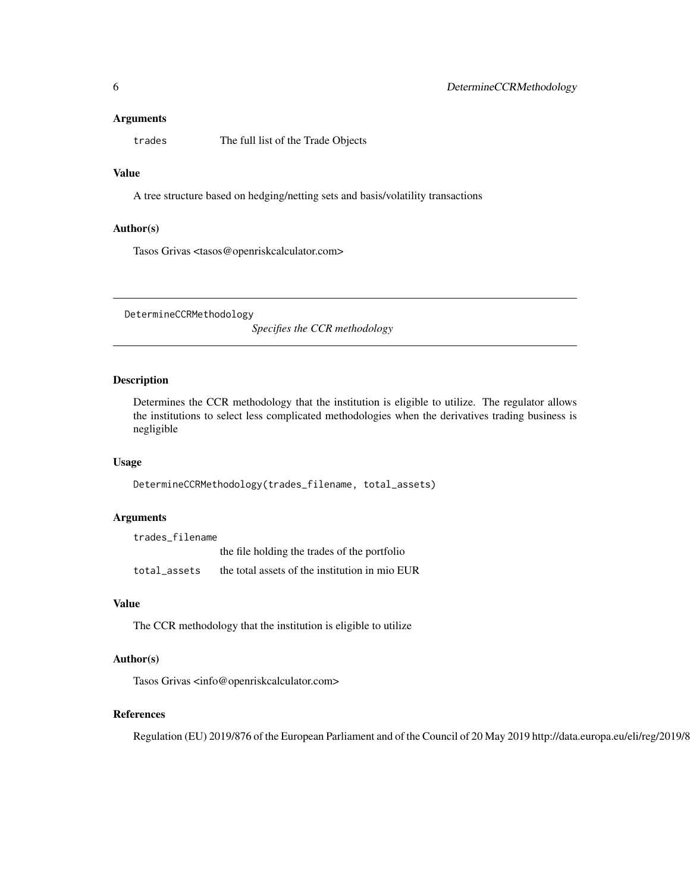#### <span id="page-5-0"></span>Arguments

trades The full list of the Trade Objects

# Value

A tree structure based on hedging/netting sets and basis/volatility transactions

#### Author(s)

Tasos Grivas <tasos@openriskcalculator.com>

DetermineCCRMethodology

*Specifies the CCR methodology*

#### Description

Determines the CCR methodology that the institution is eligible to utilize. The regulator allows the institutions to select less complicated methodologies when the derivatives trading business is negligible

#### Usage

DetermineCCRMethodology(trades\_filename, total\_assets)

#### Arguments

trades\_filename the file holding the trades of the portfolio total\_assets the total assets of the institution in mio EUR

#### Value

The CCR methodology that the institution is eligible to utilize

#### Author(s)

Tasos Grivas <info@openriskcalculator.com>

#### References

Regulation (EU) 2019/876 of the European Parliament and of the Council of 20 May 2019 http://data.europa.eu/eli/reg/2019/876/oj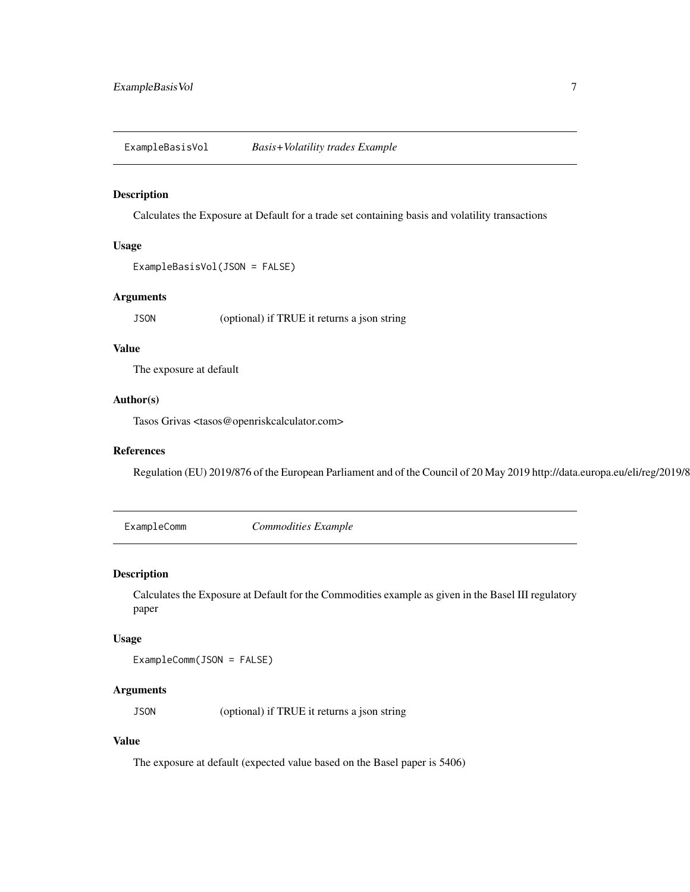<span id="page-6-0"></span>ExampleBasisVol *Basis+Volatility trades Example*

# Description

Calculates the Exposure at Default for a trade set containing basis and volatility transactions

#### Usage

```
ExampleBasisVol(JSON = FALSE)
```
# Arguments

JSON (optional) if TRUE it returns a json string

# Value

The exposure at default

#### Author(s)

Tasos Grivas <tasos@openriskcalculator.com>

#### References

Regulation (EU) 2019/876 of the European Parliament and of the Council of 20 May 2019 http://data.europa.eu/eli/reg/2019/876/oj

ExampleComm *Commodities Example*

#### Description

Calculates the Exposure at Default for the Commodities example as given in the Basel III regulatory paper

#### Usage

ExampleComm(JSON = FALSE)

#### Arguments

JSON (optional) if TRUE it returns a json string

# Value

The exposure at default (expected value based on the Basel paper is 5406)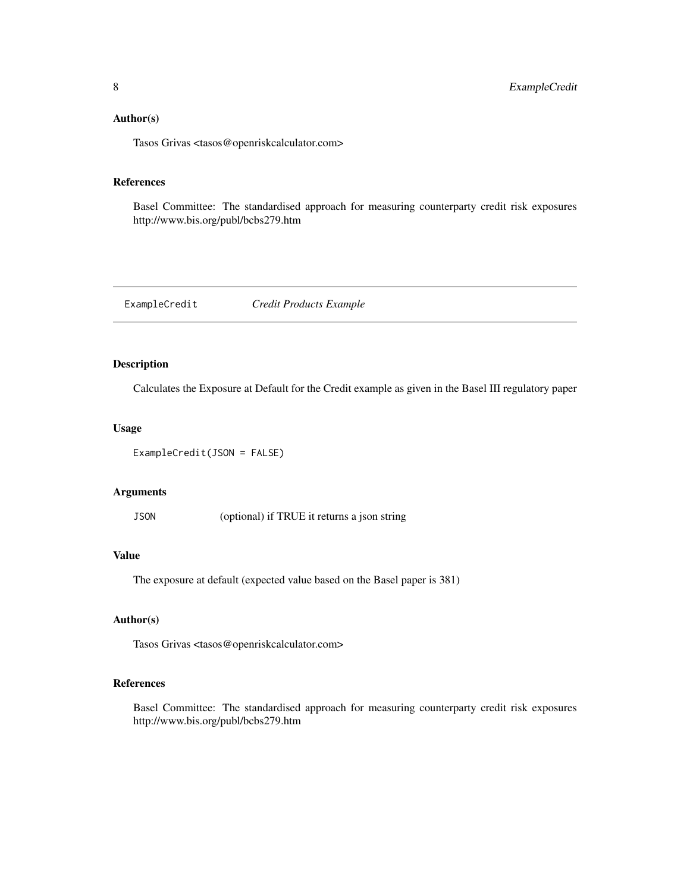# <span id="page-7-0"></span>Author(s)

Tasos Grivas <tasos@openriskcalculator.com>

#### References

Basel Committee: The standardised approach for measuring counterparty credit risk exposures http://www.bis.org/publ/bcbs279.htm

ExampleCredit *Credit Products Example*

# Description

Calculates the Exposure at Default for the Credit example as given in the Basel III regulatory paper

#### Usage

ExampleCredit(JSON = FALSE)

#### Arguments

JSON (optional) if TRUE it returns a json string

# Value

The exposure at default (expected value based on the Basel paper is 381)

# Author(s)

Tasos Grivas <tasos@openriskcalculator.com>

# References

Basel Committee: The standardised approach for measuring counterparty credit risk exposures http://www.bis.org/publ/bcbs279.htm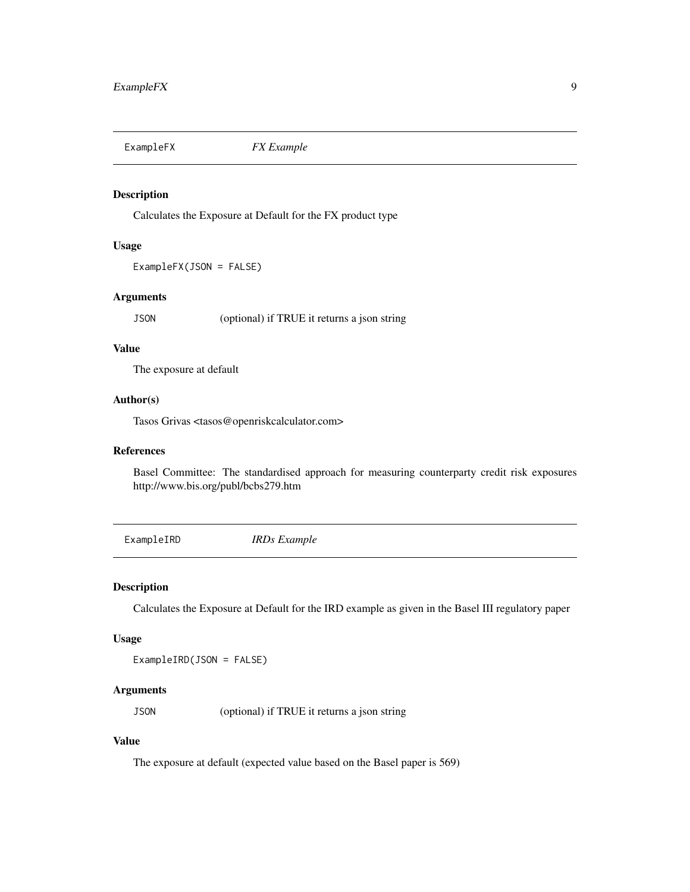<span id="page-8-0"></span>

# Description

Calculates the Exposure at Default for the FX product type

#### Usage

ExampleFX(JSON = FALSE)

# Arguments

JSON (optional) if TRUE it returns a json string

# Value

The exposure at default

#### Author(s)

Tasos Grivas <tasos@openriskcalculator.com>

#### References

Basel Committee: The standardised approach for measuring counterparty credit risk exposures http://www.bis.org/publ/bcbs279.htm

ExampleIRD *IRDs Example*

#### Description

Calculates the Exposure at Default for the IRD example as given in the Basel III regulatory paper

#### Usage

ExampleIRD(JSON = FALSE)

#### Arguments

JSON (optional) if TRUE it returns a json string

# Value

The exposure at default (expected value based on the Basel paper is 569)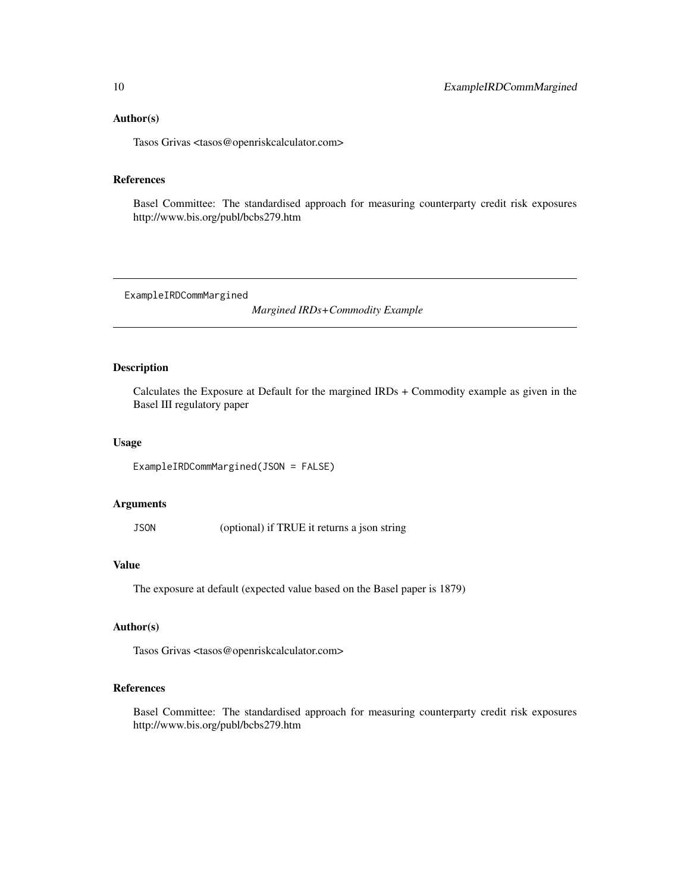#### <span id="page-9-0"></span>Author(s)

Tasos Grivas <tasos@openriskcalculator.com>

# References

Basel Committee: The standardised approach for measuring counterparty credit risk exposures http://www.bis.org/publ/bcbs279.htm

ExampleIRDCommMargined

*Margined IRDs+Commodity Example*

### Description

Calculates the Exposure at Default for the margined IRDs + Commodity example as given in the Basel III regulatory paper

#### Usage

ExampleIRDCommMargined(JSON = FALSE)

#### Arguments

JSON (optional) if TRUE it returns a json string

#### Value

The exposure at default (expected value based on the Basel paper is 1879)

# Author(s)

Tasos Grivas <tasos@openriskcalculator.com>

# References

Basel Committee: The standardised approach for measuring counterparty credit risk exposures http://www.bis.org/publ/bcbs279.htm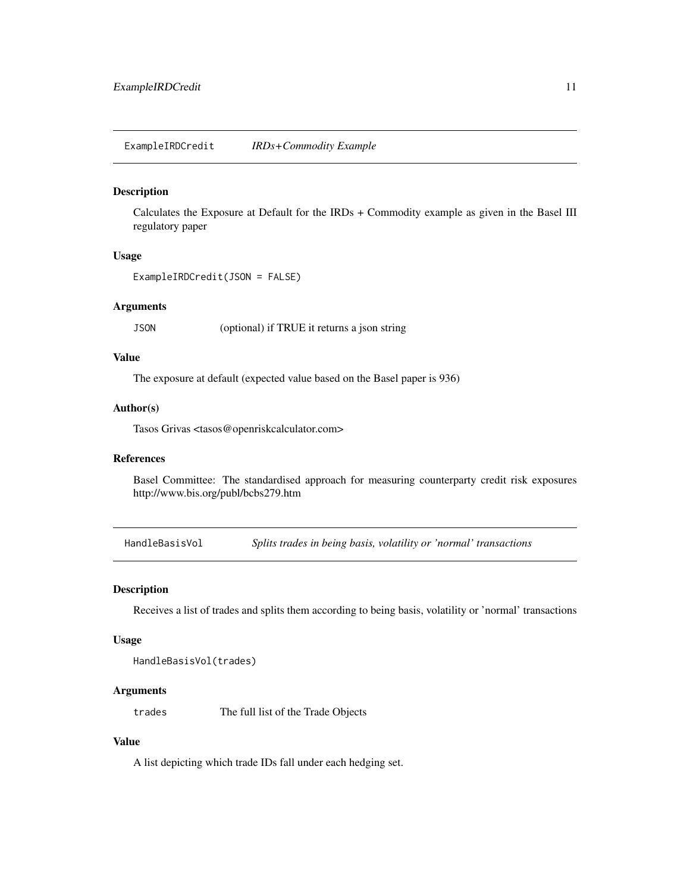<span id="page-10-0"></span>ExampleIRDCredit *IRDs+Commodity Example*

# Description

Calculates the Exposure at Default for the IRDs + Commodity example as given in the Basel III regulatory paper

#### Usage

```
ExampleIRDCredit(JSON = FALSE)
```
#### Arguments

JSON (optional) if TRUE it returns a json string

#### Value

The exposure at default (expected value based on the Basel paper is 936)

# Author(s)

Tasos Grivas <tasos@openriskcalculator.com>

# References

Basel Committee: The standardised approach for measuring counterparty credit risk exposures http://www.bis.org/publ/bcbs279.htm

HandleBasisVol *Splits trades in being basis, volatility or 'normal' transactions*

#### Description

Receives a list of trades and splits them according to being basis, volatility or 'normal' transactions

#### Usage

HandleBasisVol(trades)

#### Arguments

trades The full list of the Trade Objects

# Value

A list depicting which trade IDs fall under each hedging set.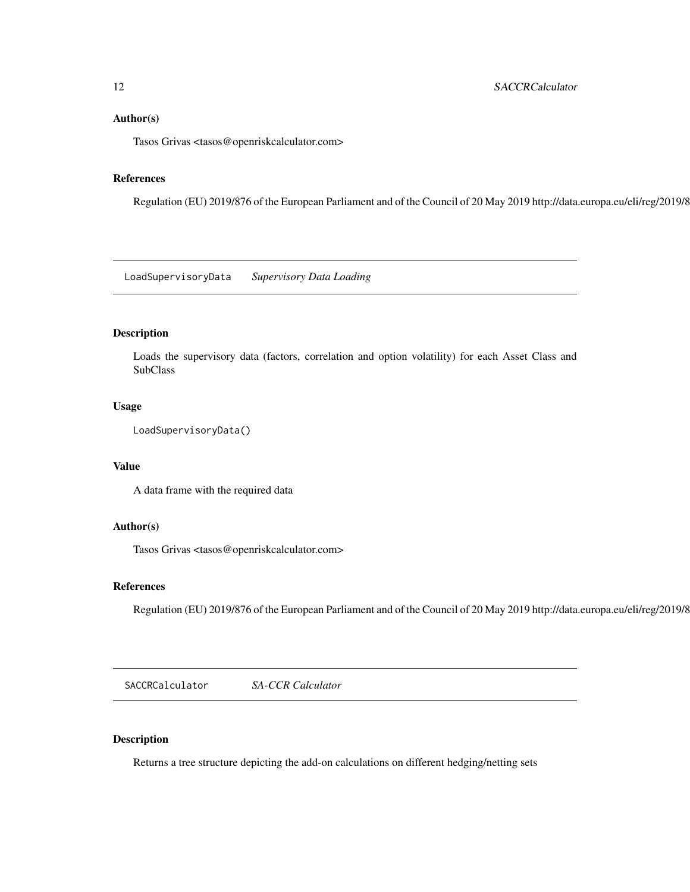#### <span id="page-11-0"></span>Author(s)

Tasos Grivas <tasos@openriskcalculator.com>

#### References

Regulation (EU) 2019/876 of the European Parliament and of the Council of 20 May 2019 http://data.europa.eu/eli/reg/2019/876/oj

LoadSupervisoryData *Supervisory Data Loading*

# Description

Loads the supervisory data (factors, correlation and option volatility) for each Asset Class and SubClass

#### Usage

```
LoadSupervisoryData()
```
#### Value

A data frame with the required data

### Author(s)

Tasos Grivas <tasos@openriskcalculator.com>

#### References

Regulation (EU) 2019/876 of the European Parliament and of the Council of 20 May 2019 http://data.europa.eu/eli/reg/2019/8

SACCRCalculator *SA-CCR Calculator*

# Description

Returns a tree structure depicting the add-on calculations on different hedging/netting sets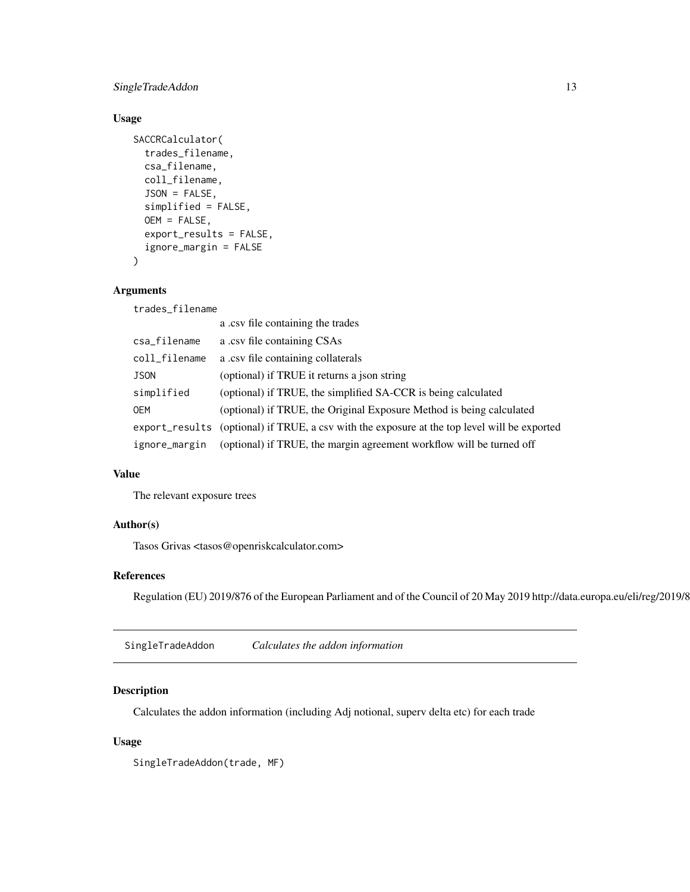# <span id="page-12-0"></span>SingleTradeAddon 13

# Usage

```
SACCRCalculator(
  trades_filename,
  csa_filename,
  coll_filename,
  JSON = FALSE,
  simplified = FALSE,
  OEM = FALSE,
  export_results = FALSE,
  ignore_margin = FALSE
\mathcal{L}
```
#### Arguments

trades\_filename

|               | a .csv file containing the trades                                                            |
|---------------|----------------------------------------------------------------------------------------------|
| csa_filename  | a .csv file containing CSAs                                                                  |
| coll_filename | a .csv file containing collaterals                                                           |
| <b>JSON</b>   | (optional) if TRUE it returns a json string                                                  |
| simplified    | (optional) if TRUE, the simplified SA-CCR is being calculated                                |
| <b>OEM</b>    | (optional) if TRUE, the Original Exposure Method is being calculated                         |
|               | export_results (optional) if TRUE, a csy with the exposure at the top level will be exported |
| ignore_margin | (optional) if TRUE, the margin agreement workflow will be turned off                         |

# Value

The relevant exposure trees

### Author(s)

Tasos Grivas <tasos@openriskcalculator.com>

# References

Regulation (EU) 2019/876 of the European Parliament and of the Council of 20 May 2019 http://data.europa.eu/eli/reg/2019/876/oj

SingleTradeAddon *Calculates the addon information*

# Description

Calculates the addon information (including Adj notional, superv delta etc) for each trade

# Usage

SingleTradeAddon(trade, MF)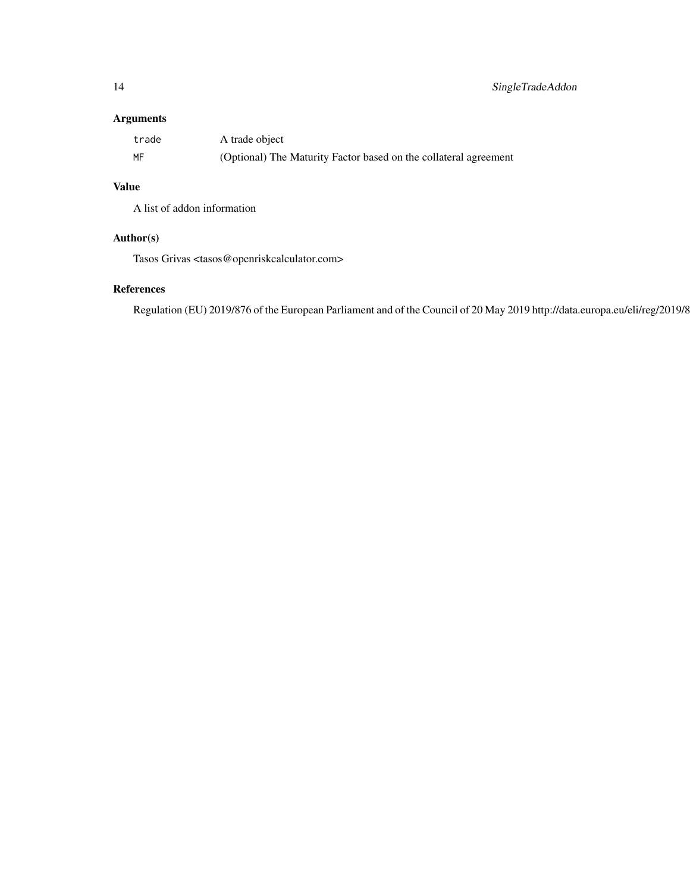# Arguments

| trade | A trade object                                                   |
|-------|------------------------------------------------------------------|
| MF    | (Optional) The Maturity Factor based on the collateral agreement |

# Value

A list of addon information

# Author(s)

Tasos Grivas <tasos@openriskcalculator.com>

# References

Regulation (EU) 2019/876 of the European Parliament and of the Council of 20 May 2019 http://data.europa.eu/eli/reg/2019/8